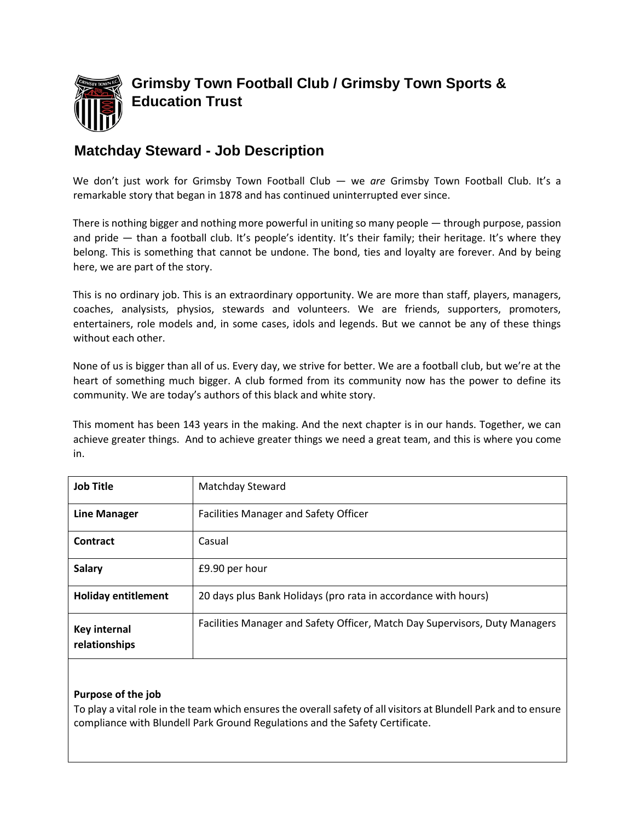

# **Matchday Steward - Job Description**

We don't just work for Grimsby Town Football Club — we *are* Grimsby Town Football Club. It's a remarkable story that began in 1878 and has continued uninterrupted ever since.

There is nothing bigger and nothing more powerful in uniting so many people — through purpose, passion and pride — than a football club. It's people's identity. It's their family; their heritage. It's where they belong. This is something that cannot be undone. The bond, ties and loyalty are forever. And by being here, we are part of the story.

This is no ordinary job. This is an extraordinary opportunity. We are more than staff, players, managers, coaches, analysists, physios, stewards and volunteers. We are friends, supporters, promoters, entertainers, role models and, in some cases, idols and legends. But we cannot be any of these things without each other.

None of us is bigger than all of us. Every day, we strive for better. We are a football club, but we're at the heart of something much bigger. A club formed from its community now has the power to define its community. We are today's authors of this black and white story.

This moment has been 143 years in the making. And the next chapter is in our hands. Together, we can achieve greater things. And to achieve greater things we need a great team, and this is where you come in.

| <b>Job Title</b>                     | Matchday Steward                                                            |
|--------------------------------------|-----------------------------------------------------------------------------|
| <b>Line Manager</b>                  | Facilities Manager and Safety Officer                                       |
| Contract                             | Casual                                                                      |
| <b>Salary</b>                        | £9.90 per hour                                                              |
| <b>Holiday entitlement</b>           | 20 days plus Bank Holidays (pro rata in accordance with hours)              |
| <b>Key internal</b><br>relationships | Facilities Manager and Safety Officer, Match Day Supervisors, Duty Managers |

## **Purpose of the job**

To play a vital role in the team which ensures the overall safety of all visitors at Blundell Park and to ensure compliance with Blundell Park Ground Regulations and the Safety Certificate.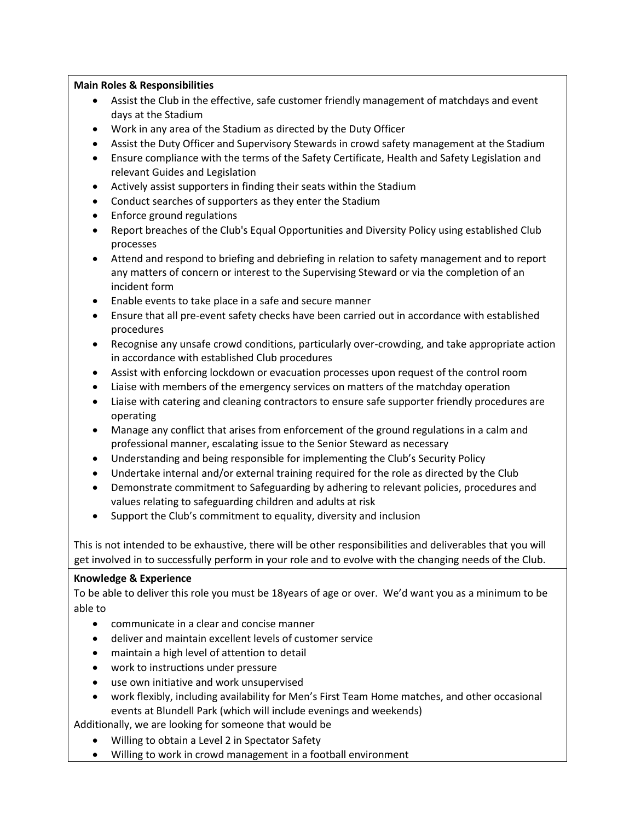#### **Main Roles & Responsibilities**

- Assist the Club in the effective, safe customer friendly management of matchdays and event days at the Stadium
- Work in any area of the Stadium as directed by the Duty Officer
- Assist the Duty Officer and Supervisory Stewards in crowd safety management at the Stadium
- Ensure compliance with the terms of the Safety Certificate, Health and Safety Legislation and relevant Guides and Legislation
- Actively assist supporters in finding their seats within the Stadium
- Conduct searches of supporters as they enter the Stadium
- Enforce ground regulations
- Report breaches of the Club's Equal Opportunities and Diversity Policy using established Club processes
- Attend and respond to briefing and debriefing in relation to safety management and to report any matters of concern or interest to the Supervising Steward or via the completion of an incident form
- Enable events to take place in a safe and secure manner
- Ensure that all pre-event safety checks have been carried out in accordance with established procedures
- Recognise any unsafe crowd conditions, particularly over-crowding, and take appropriate action in accordance with established Club procedures
- Assist with enforcing lockdown or evacuation processes upon request of the control room
- Liaise with members of the emergency services on matters of the matchday operation
- Liaise with catering and cleaning contractors to ensure safe supporter friendly procedures are operating
- Manage any conflict that arises from enforcement of the ground regulations in a calm and professional manner, escalating issue to the Senior Steward as necessary
- Understanding and being responsible for implementing the Club's Security Policy
- Undertake internal and/or external training required for the role as directed by the Club
- Demonstrate commitment to Safeguarding by adhering to relevant policies, procedures and values relating to safeguarding children and adults at risk
- Support the Club's commitment to equality, diversity and inclusion

This is not intended to be exhaustive, there will be other responsibilities and deliverables that you will get involved in to successfully perform in your role and to evolve with the changing needs of the Club.

## **Knowledge & Experience**

To be able to deliver this role you must be 18years of age or over. We'd want you as a minimum to be able to

- communicate in a clear and concise manner
- deliver and maintain excellent levels of customer service
- maintain a high level of attention to detail
- work to instructions under pressure
- use own initiative and work unsupervised
- work flexibly, including availability for Men's First Team Home matches, and other occasional events at Blundell Park (which will include evenings and weekends)

Additionally, we are looking for someone that would be

- Willing to obtain a Level 2 in Spectator Safety
- Willing to work in crowd management in a football environment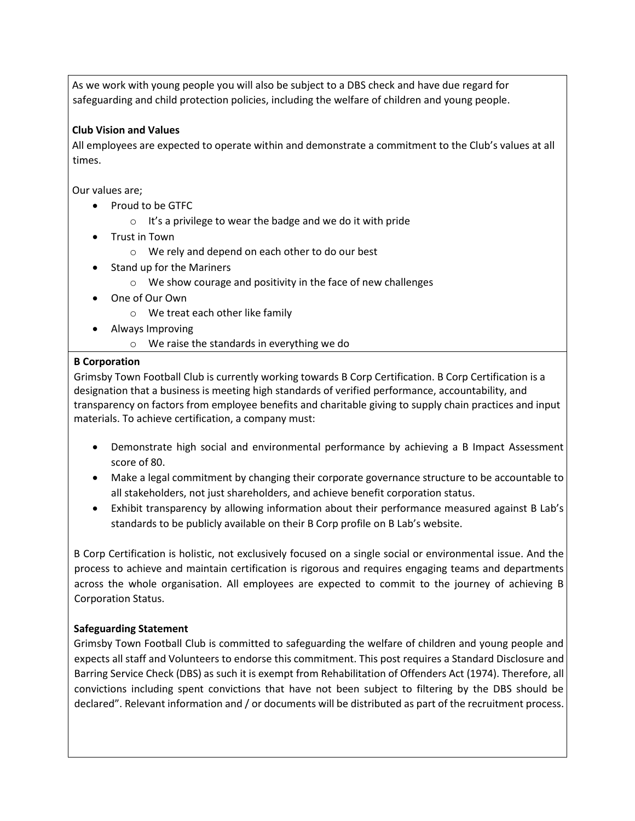As we work with young people you will also be subject to a DBS check and have due regard for safeguarding and child protection policies, including the welfare of children and young people.

#### **Club Vision and Values**

All employees are expected to operate within and demonstrate a commitment to the Club's values at all times.

Our values are;

- Proud to be GTFC
	- o It's a privilege to wear the badge and we do it with pride
- Trust in Town
	- o We rely and depend on each other to do our best
- Stand up for the Mariners
	- o We show courage and positivity in the face of new challenges
- One of Our Own
	- o We treat each other like family
- Always Improving
	- o We raise the standards in everything we do

#### **B Corporation**

Grimsby Town Football Club is currently working towards B Corp Certification. B Corp Certification is a designation that a business is meeting high standards of verified performance, accountability, and transparency on factors from employee benefits and charitable giving to supply chain practices and input materials. To achieve certification, a company must:

- Demonstrate high social and environmental performance by achieving a B Impact Assessment score of 80.
- Make a legal commitment by changing their corporate governance structure to be accountable to all stakeholders, not just shareholders, and achieve benefit corporation status.
- Exhibit transparency by allowing information about their performance measured against B Lab's standards to be publicly available on their B Corp profile on B Lab's website.

B Corp Certification is holistic, not exclusively focused on a single social or environmental issue. And the process to achieve and maintain certification is rigorous and requires engaging teams and departments across the whole organisation. All employees are expected to commit to the journey of achieving B Corporation Status.

## **Safeguarding Statement**

Grimsby Town Football Club is committed to safeguarding the welfare of children and young people and expects all staff and Volunteers to endorse this commitment. This post requires a Standard Disclosure and Barring Service Check (DBS) as such it is exempt from Rehabilitation of Offenders Act (1974). Therefore, all convictions including spent convictions that have not been subject to filtering by the DBS should be declared". Relevant information and / or documents will be distributed as part of the recruitment process.